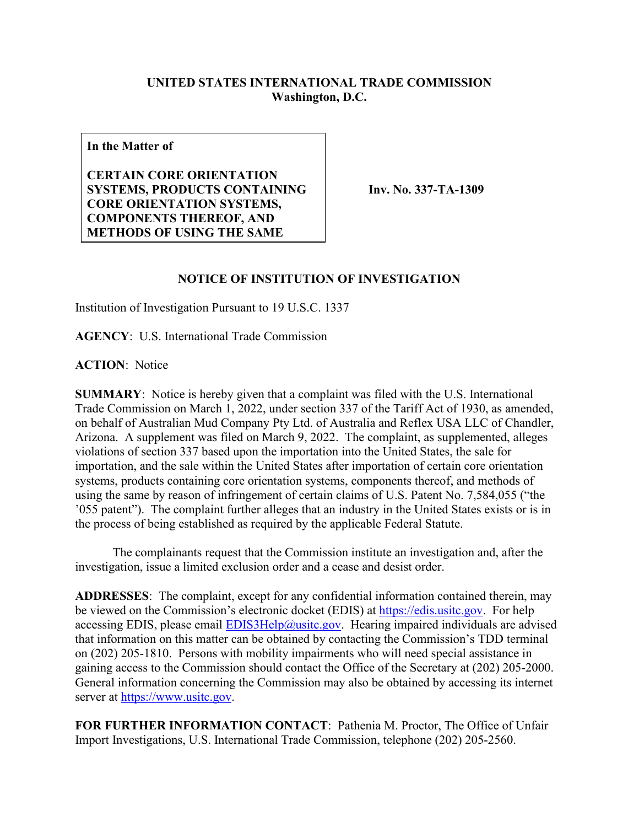## **UNITED STATES INTERNATIONAL TRADE COMMISSION Washington, D.C.**

**In the Matter of**

**CERTAIN CORE ORIENTATION SYSTEMS, PRODUCTS CONTAINING CORE ORIENTATION SYSTEMS, COMPONENTS THEREOF, AND METHODS OF USING THE SAME**

**Inv. No. 337-TA-1309**

## **NOTICE OF INSTITUTION OF INVESTIGATION**

Institution of Investigation Pursuant to 19 U.S.C. 1337

**AGENCY**: U.S. International Trade Commission

**ACTION**: Notice

**SUMMARY**: Notice is hereby given that a complaint was filed with the U.S. International Trade Commission on March 1, 2022, under section 337 of the Tariff Act of 1930, as amended, on behalf of Australian Mud Company Pty Ltd. of Australia and Reflex USA LLC of Chandler, Arizona. A supplement was filed on March 9, 2022. The complaint, as supplemented, alleges violations of section 337 based upon the importation into the United States, the sale for importation, and the sale within the United States after importation of certain core orientation systems, products containing core orientation systems, components thereof, and methods of using the same by reason of infringement of certain claims of U.S. Patent No. 7,584,055 ("the '055 patent"). The complaint further alleges that an industry in the United States exists or is in the process of being established as required by the applicable Federal Statute.

 The complainants request that the Commission institute an investigation and, after the investigation, issue a limited exclusion order and a cease and desist order.

**ADDRESSES**: The complaint, except for any confidential information contained therein, may be viewed on the Commission's electronic docket (EDIS) at [https://edis.usitc.gov.](https://edis.usitc.gov/) For help accessing EDIS, please email  $EDIS3Help@usite.gov$ . Hearing impaired individuals are advised that information on this matter can be obtained by contacting the Commission's TDD terminal on (202) 205-1810. Persons with mobility impairments who will need special assistance in gaining access to the Commission should contact the Office of the Secretary at (202) 205-2000. General information concerning the Commission may also be obtained by accessing its internet server at [https://www.usitc.gov.](https://www.usitc.gov/)

**FOR FURTHER INFORMATION CONTACT**: Pathenia M. Proctor, The Office of Unfair Import Investigations, U.S. International Trade Commission, telephone (202) 205-2560.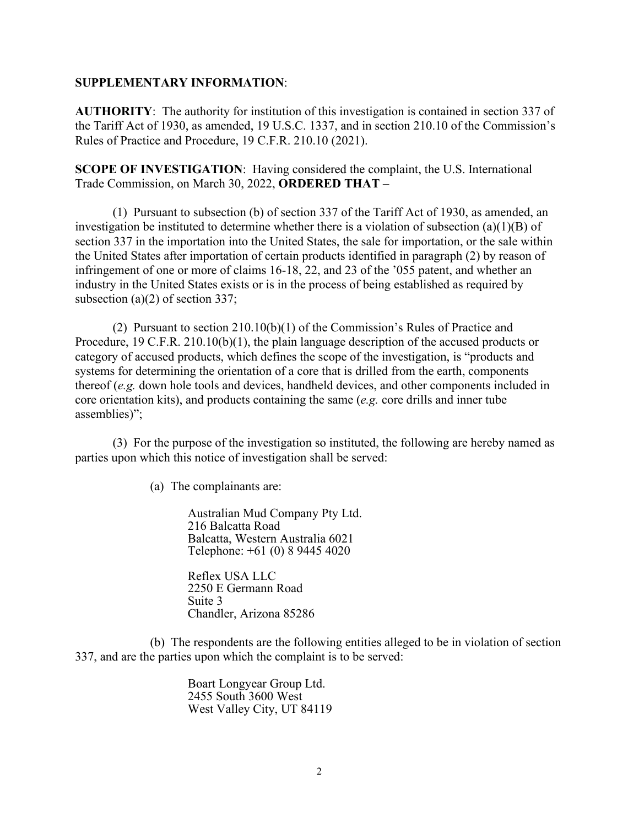## **SUPPLEMENTARY INFORMATION**:

**AUTHORITY**: The authority for institution of this investigation is contained in section 337 of the Tariff Act of 1930, as amended, 19 U.S.C. 1337, and in section 210.10 of the Commission's Rules of Practice and Procedure, 19 C.F.R. 210.10 (2021).

**SCOPE OF INVESTIGATION**: Having considered the complaint, the U.S. International Trade Commission, on March 30, 2022, **ORDERED THAT** –

(1) Pursuant to subsection (b) of section 337 of the Tariff Act of 1930, as amended, an investigation be instituted to determine whether there is a violation of subsection (a)(1)(B) of section 337 in the importation into the United States, the sale for importation, or the sale within the United States after importation of certain products identified in paragraph (2) by reason of infringement of one or more of claims 16-18, 22, and 23 of the '055 patent, and whether an industry in the United States exists or is in the process of being established as required by subsection (a)(2) of section 337;

(2) Pursuant to section 210.10(b)(1) of the Commission's Rules of Practice and Procedure, 19 C.F.R. 210.10(b)(1), the plain language description of the accused products or category of accused products, which defines the scope of the investigation, is "products and systems for determining the orientation of a core that is drilled from the earth, components thereof (*e.g.* down hole tools and devices, handheld devices, and other components included in core orientation kits), and products containing the same (*e.g.* core drills and inner tube assemblies)";

(3) For the purpose of the investigation so instituted, the following are hereby named as parties upon which this notice of investigation shall be served:

(a) The complainants are:

Australian Mud Company Pty Ltd. 216 Balcatta Road Balcatta, Western Australia 6021 Telephone: +61 (0) 8 9445 4020

Reflex USA LLC 2250 E Germann Road Suite 3 Chandler, Arizona 85286

(b) The respondents are the following entities alleged to be in violation of section 337, and are the parties upon which the complaint is to be served:

> Boart Longyear Group Ltd. 2455 South 3600 West West Valley City, UT 84119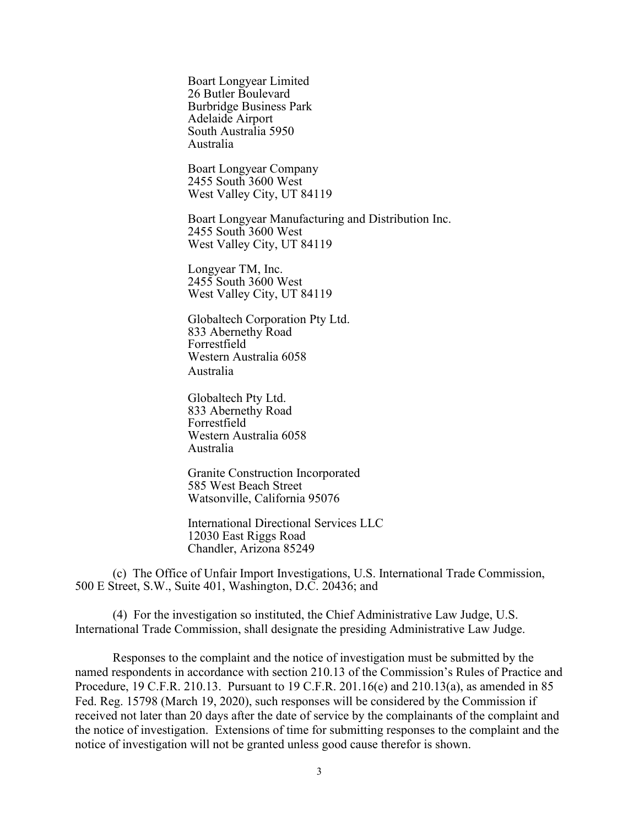Boart Longyear Limited 26 Butler Boulevard Burbridge Business Park Adelaide Airport South Australia 5950 Australia

Boart Longyear Company 2455 South 3600 West West Valley City, UT 84119

Boart Longyear Manufacturing and Distribution Inc. 2455 South 3600 West West Valley City, UT 84119

Longyear TM, Inc. 2455 South 3600 West West Valley City, UT 84119

Globaltech Corporation Pty Ltd. 833 Abernethy Road Forrestfield Western Australia 6058 Australia

Globaltech Pty Ltd. 833 Abernethy Road Forrestfield Western Australia 6058 Australia

Granite Construction Incorporated 585 West Beach Street Watsonville, California 95076

International Directional Services LLC 12030 East Riggs Road Chandler, Arizona 85249

(c) The Office of Unfair Import Investigations, U.S. International Trade Commission, 500 E Street, S.W., Suite 401, Washington, D.C. 20436; and

(4) For the investigation so instituted, the Chief Administrative Law Judge, U.S. International Trade Commission, shall designate the presiding Administrative Law Judge.

Responses to the complaint and the notice of investigation must be submitted by the named respondents in accordance with section 210.13 of the Commission's Rules of Practice and Procedure, 19 C.F.R. 210.13. Pursuant to 19 C.F.R. 201.16(e) and 210.13(a), as amended in 85 Fed. Reg. 15798 (March 19, 2020), such responses will be considered by the Commission if received not later than 20 days after the date of service by the complainants of the complaint and the notice of investigation. Extensions of time for submitting responses to the complaint and the notice of investigation will not be granted unless good cause therefor is shown.